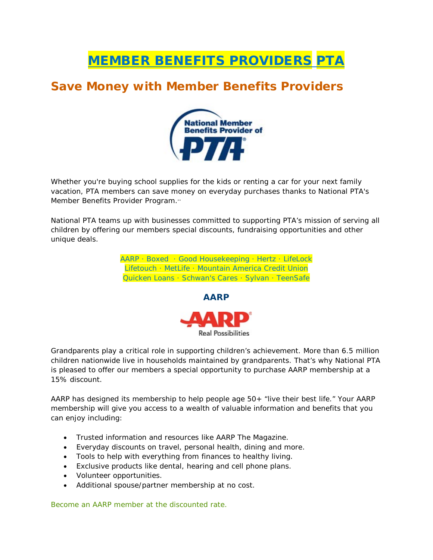# MEMBER BENEFITS PROVIDERS PTA

## **Save Money with Member Benefits Providers**



Whether you're buying school supplies for the kids or renting a car for your next family vacation, PTA members can save money on everyday purchases thanks to National PTA's Member Benefits Provider Program.\*\*

National PTA teams up with businesses committed to supporting PTA's mission of serving all children by offering our members special discounts, fundraising opportunities and other unique deals.

> [AARP](https://www.pta.org/about/content.cfm?ItemNumber=3409&navItemNumber=4180#AARP) · [Boxed](https://www.pta.org/about/content.cfm?ItemNumber=3409&navItemNumber=4180#Boxed) · [Good Housekeeping](https://www.pta.org/about/content.cfm?ItemNumber=3409&navItemNumber=4180#GoodHousekeeping) · [Hertz](https://www.pta.org/about/content.cfm?ItemNumber=3409&navItemNumber=4180#Hertz) · [LifeLock](https://www.pta.org/about/content.cfm?ItemNumber=3409&navItemNumber=4180#LifeLock) [Lifetouch](https://www.pta.org/about/content.cfm?ItemNumber=3409&navItemNumber=4180#Lifetouch) · [MetLife](https://www.pta.org/about/content.cfm?ItemNumber=3409&navItemNumber=4180#metlife) · [Mountain America Credit Union](https://www.pta.org/about/content.cfm?ItemNumber=3409&navItemNumber=4180#MACU) [Quicken Loans](https://www.pta.org/about/content.cfm?ItemNumber=3409&navItemNumber=4180#Quicken%20Loans) · [Schwan's Cares](https://www.pta.org/about/content.cfm?ItemNumber=3409&navItemNumber=4180#SchwansCares) · [Sylvan](https://www.pta.org/about/content.cfm?ItemNumber=3409&navItemNumber=4180#sylvan) · [TeenSafe](https://www.pta.org/about/content.cfm?ItemNumber=3409&navItemNumber=4180#TeenSafe)



Grandparents play a critical role in supporting children's achievement. More than 6.5 million children nationwide live in households maintained by grandparents. That's why National PTA is pleased to offer our members a special opportunity to purchase AARP membership at a 15% discount.

AARP has designed its membership to help people age 50+ "live their best life." Your AARP membership will give you access to a wealth of valuable information and benefits that you can enjoy including:

- Trusted information and resources like *AARP The Magazine*.
- Everyday discounts on travel, personal health, dining and more.
- Tools to help with everything from finances to healthy living.
- Exclusive products like dental, hearing and cell phone plans.
- Volunteer opportunities.
- Additional spouse/partner membership at no cost.

[Become an AARP member at the discounted rate.](https://appsec.aarp.org/MSS/join/application?keycode=MAHSM2&cmp=IVS_CM_PCP_OrganizationA)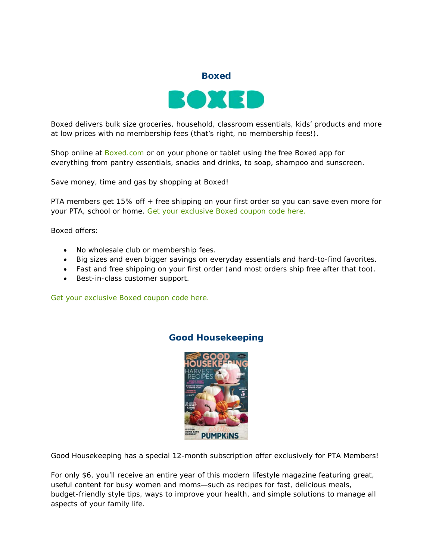

Boxed delivers bulk size groceries, household, classroom essentials, kids' products and more at low prices with no membership fees (that's right, no membership fees!).

Shop online at [Boxed.com](https://www.boxed.com/products/highlight/35/pta/) or on your phone or tablet using the free Boxed app for everything from pantry essentials, snacks and drinks, to soap, shampoo and sunscreen.

Save money, time and gas by shopping at Boxed!

PTA members get 15% off + free shipping on your first order so you can save even more for your PTA, school or home. [Get your exclusive Boxed coupon code here.](http://www.pta.org/members/contentLGI.cfm?ItemNumber=4514)

Boxed offers:

- No wholesale club or membership fees.
- Big sizes and even bigger savings on everyday essentials and hard-to-find favorites.
- Fast and free shipping on your first order (and most orders ship free after that too).
- Best-in-class customer support.

[Get your exclusive Boxed coupon code here.](http://www.pta.org/members/contentLGI.cfm?ItemNumber=4514)

### **Good Housekeeping**



Good Housekeeping has a special 12-month subscription offer exclusively for PTA Members!

For only \$6, you'll receive an entire year of this modern lifestyle magazine featuring great, useful content for busy women and moms—such as recipes for fast, delicious meals, budget-friendly style tips, ways to improve your health, and simple solutions to manage all aspects of your family life.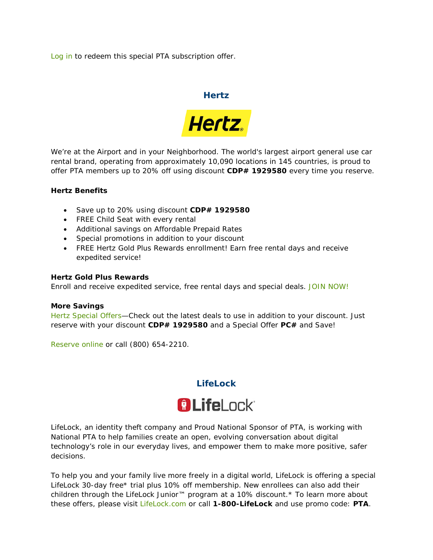[Log in](http://www.pta.org/members/content.cfm?ItemNumber=5007) to redeem this special PTA subscription offer.

#### **Hertz**



We're at the Airport and in your Neighborhood. The world's largest airport general use car rental brand, operating from approximately 10,090 locations in 145 countries, is proud to offer PTA members up to 20% off using discount **CDP# 1929580** every time you reserve.

#### **Hertz Benefits**

- Save up to 20% using discount **CDP# 1929580**
- FREE Child Seat with every rental
- Additional savings on Affordable Prepaid Rates
- Special promotions in addition to your discount
- FREE Hertz Gold Plus Rewards enrollment! Earn free rental days and receive expedited service!

#### **Hertz Gold Plus Rewards**

Enroll and receive expedited service, free rental days and special deals. [JOIN NOW!](http://link.hertz.com/link.html?id=5025270&LinkType=CBLK)

#### **More Savings**

[Hertz Special Offers—](http://link.hertz.com/link.html?id=28874&LinkType=HZLK&target=specialoffers/index.jsp?targetPage=Assn_Smallbanner_no3.xml)Check out the latest deals to use in addition to your discount. Just reserve with your discount **CDP# 1929580** and a Special Offer **PC#** and Save!

[Reserve online](http://link.hertz.com/link.html?id=28874&LinkType=HZLK) or call (800) 654-2210.



LifeLock, an identity theft company and Proud National Sponsor of PTA, is working with National PTA to help families create an open, evolving conversation about digital technology's role in our everyday lives, and empower them to make more positive, safer decisions.

To help you and your family live more freely in a digital world, LifeLock is offering a special LifeLock 30-day free\* trial plus 10% off membership. New enrollees can also add their children through the LifeLock Junior™ program at a 10% discount.\* To learn more about these offers, please visit [LifeLock.com](http://www.lifelock.com/) or call **1-800-LifeLock** and use promo code: **PTA**.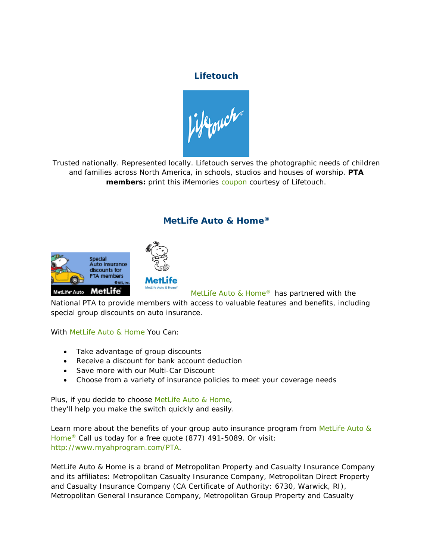## **Lifetouch**

Sifinant

Trusted nationally. Represented locally. Lifetouch serves the photographic needs of children and families across North America, in schools, studios and houses of worship. **PTA members:** print this iMemories [coupon](https://s3.amazonaws.com/rdcms-pta/files/production/public/iMemories%20PTA%20Web%20page.pdf) courtesy of Lifetouch.

## **MetLife Auto & Home®**





MetLife Auto & Home<sup>®</sup> has partnered with the

National PTA to provide members with access to valuable features and benefits, including special group discounts on auto insurance.

With [MetLife Auto & Home](http://www.myahprogram.com/PTA) You Can:

- Take advantage of group discounts
- Receive a discount for bank account deduction
- Save more with our Multi-Car Discount
- Choose from a variety of insurance policies to meet your coverage needs

Plus, if you decide to choose [MetLife Auto & Home,](http://www.myahprogram.com/PTA) they'll help you make the switch quickly and easily.

Learn more about the benefits of your group auto insurance program from MetLife Auto & [Home®](http://www.myahprogram.com/PTA) Call us today for a free quote (877) 491-5089. Or visit: [http://www.myahprogram.com/PTA.](http://www.myahprogram.com/PTA)

*MetLife Auto & Home is a brand of Metropolitan Property and Casualty Insurance Company and its affiliates: Metropolitan Casualty Insurance Company, Metropolitan Direct Property and Casualty Insurance Company (CA Certificate of Authority: 6730, Warwick, RI), Metropolitan General Insurance Company, Metropolitan Group Property and Casualty*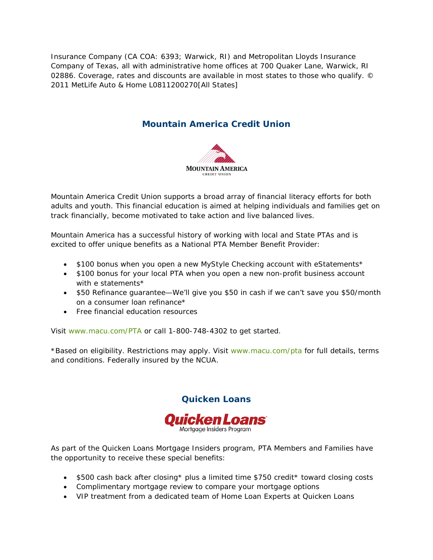*Insurance Company (CA COA: 6393; Warwick, RI) and Metropolitan Lloyds Insurance Company of Texas, all with administrative home offices at 700 Quaker Lane, Warwick, RI 02886. Coverage, rates and discounts are available in most states to those who qualify. © 2011 MetLife Auto & Home L0811200270[All States]*

## **Mountain America Credit Union**



Mountain America Credit Union supports a broad array of financial literacy efforts for both adults and youth. This financial education is aimed at helping individuals and families get on track financially, become motivated to take action and live balanced lives.

Mountain America has a successful history of working with local and State PTAs and is excited to offer unique benefits as a National PTA Member Benefit Provider:

- \$100 bonus when you open a new MyStyle Checking account with eStatements\*
- \$100 bonus for your local PTA when you open a new non-profit business account with e statements\*
- \$50 Refinance guarantee—We'll give you \$50 in cash if we can't save you \$50/month on a consumer loan refinance\*
- Free financial education resources

Visit [www.macu.com/PTA](http://www.macu.com/PTA) or call 1-800-748-4302 to get started.

\*Based on eligibility. Restrictions may apply. Visit [www.macu.com/pta](http://www.macu.com/pta) for full details, terms and conditions. Federally insured by the NCUA.



**Quicken Loans**

As part of the Quicken Loans Mortgage Insiders program, PTA Members and Families have the opportunity to receive these special benefits:

- \$500 cash back after closing\* plus a limited time \$750 credit\* toward closing costs
- Complimentary mortgage review to compare your mortgage options
- VIP treatment from a dedicated team of Home Loan Experts at Quicken Loans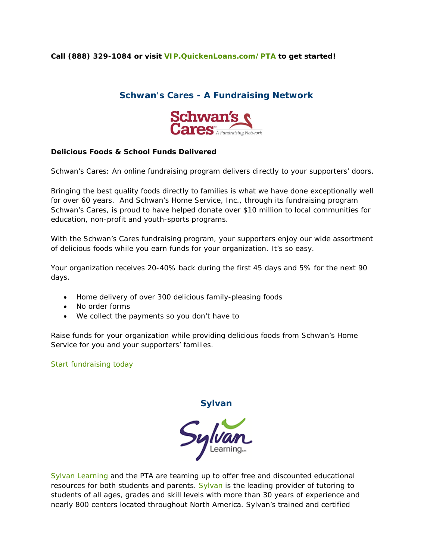#### **Call (888) 329-1084 or visit [VIP.QuickenLoans.com/PTA](https://insider.quickenloans.com/partner/pta/) to get started!**

## **Schwan's Cares - A Fundraising Network**



#### **Delicious Foods & School Funds Delivered**

Schwan's Cares: An online fundraising program delivers directly to your supporters' doors.

Bringing the best quality foods directly to families is what we have done exceptionally well for over 60 years. And Schwan's Home Service, Inc., through its fundraising program Schwan's Cares, is proud to have helped donate over \$10 million to local communities for education, non-profit and youth-sports programs.

With the Schwan's Cares fundraising program, your supporters enjoy our wide assortment of delicious foods while you earn funds for your organization. It's so easy.

Your organization receives 20-40% back during the first 45 days and 5% for the next 90 days.

- Home delivery of over 300 delicious family-pleasing foods
- No order forms
- We collect the payments so you don't have to

Raise funds for your organization while providing delicious foods from Schwan's Home Service for you and your supporters' families.

[Start fundraising today](https://www.schwans-cares.com/programs/200-pta-fundraising?agent_id=221)

**Sylvan**

Sylva

[Sylvan Learning](http://www.sylvanlearning.com/) and the PTA are teaming up to offer free and discounted educational resources for both students and parents. [Sylvan](http://www.sylvanlearning.com/) is the leading provider of tutoring to students of all ages, grades and skill levels with more than 30 years of experience and nearly 800 centers located throughout North America. Sylvan's trained and certified